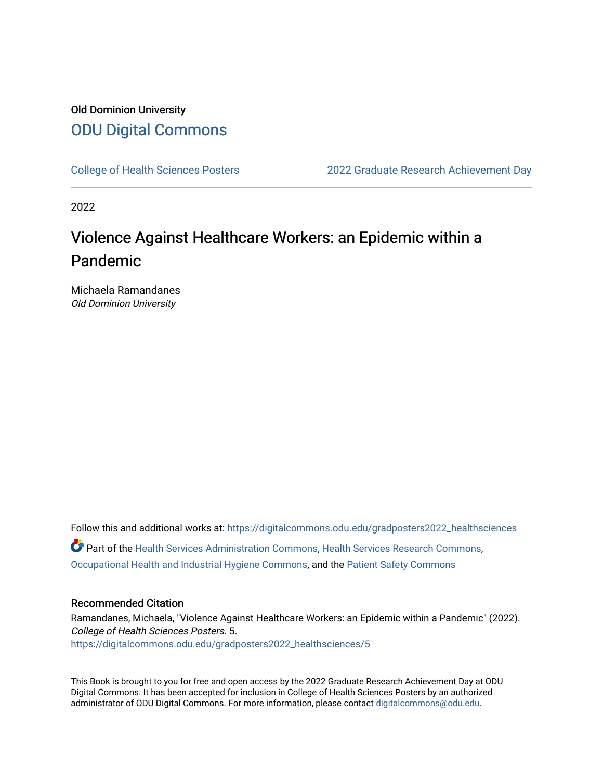#### Old Dominion University [ODU Digital Commons](https://digitalcommons.odu.edu/)

[College of Health Sciences Posters](https://digitalcommons.odu.edu/gradposters2022_healthsciences) [2022 Graduate Research Achievement Day](https://digitalcommons.odu.edu/graduateschool_achievementday2022) 

2022

#### Violence Against Healthcare Workers: an Epidemic within a Pandemic

Michaela Ramandanes Old Dominion University

Follow this and additional works at: [https://digitalcommons.odu.edu/gradposters2022\\_healthsciences](https://digitalcommons.odu.edu/gradposters2022_healthsciences?utm_source=digitalcommons.odu.edu%2Fgradposters2022_healthsciences%2F5&utm_medium=PDF&utm_campaign=PDFCoverPages) Part of the [Health Services Administration Commons,](http://network.bepress.com/hgg/discipline/747?utm_source=digitalcommons.odu.edu%2Fgradposters2022_healthsciences%2F5&utm_medium=PDF&utm_campaign=PDFCoverPages) [Health Services Research Commons,](http://network.bepress.com/hgg/discipline/816?utm_source=digitalcommons.odu.edu%2Fgradposters2022_healthsciences%2F5&utm_medium=PDF&utm_campaign=PDFCoverPages) [Occupational Health and Industrial Hygiene Commons](http://network.bepress.com/hgg/discipline/742?utm_source=digitalcommons.odu.edu%2Fgradposters2022_healthsciences%2F5&utm_medium=PDF&utm_campaign=PDFCoverPages), and the [Patient Safety Commons](http://network.bepress.com/hgg/discipline/1410?utm_source=digitalcommons.odu.edu%2Fgradposters2022_healthsciences%2F5&utm_medium=PDF&utm_campaign=PDFCoverPages) 

#### Recommended Citation

Ramandanes, Michaela, "Violence Against Healthcare Workers: an Epidemic within a Pandemic" (2022). College of Health Sciences Posters. 5. [https://digitalcommons.odu.edu/gradposters2022\\_healthsciences/5](https://digitalcommons.odu.edu/gradposters2022_healthsciences/5?utm_source=digitalcommons.odu.edu%2Fgradposters2022_healthsciences%2F5&utm_medium=PDF&utm_campaign=PDFCoverPages) 

This Book is brought to you for free and open access by the 2022 Graduate Research Achievement Day at ODU Digital Commons. It has been accepted for inclusion in College of Health Sciences Posters by an authorized administrator of ODU Digital Commons. For more information, please contact [digitalcommons@odu.edu](mailto:digitalcommons@odu.edu).